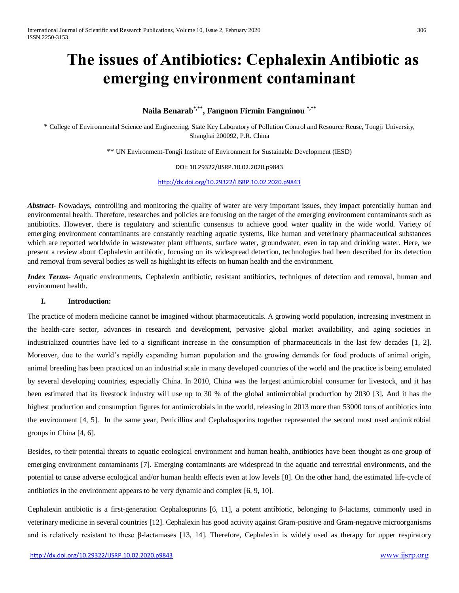# **The issues of Antibiotics: Cephalexin Antibiotic as emerging environment contaminant**

# **Naila Benarab\*,\*\* , Fangnon Firmin Fangninou \*,\*\***

\* College of Environmental Science and Engineering, State Key Laboratory of Pollution Control and Resource Reuse, Tongji University, Shanghai 200092, P.R. China

\*\* UN Environment-Tongji Institute of Environment for Sustainable Development (IESD)

DOI: 10.29322/IJSRP.10.02.2020.p9843

<http://dx.doi.org/10.29322/IJSRP.10.02.2020.p9843>

*Abstract-* Nowadays, controlling and monitoring the quality of water are very important issues, they impact potentially human and environmental health. Therefore, researches and policies are focusing on the target of the emerging environment contaminants such as antibiotics. However, there is regulatory and scientific consensus to achieve good water quality in the wide world. Variety of emerging environment contaminants are constantly reaching aquatic systems, like human and veterinary pharmaceutical substances which are reported worldwide in wastewater plant effluents, surface water, groundwater, even in tap and drinking water. Here, we present a review about Cephalexin antibiotic, focusing on its widespread detection, technologies had been described for its detection and removal from several bodies as well as highlight its effects on human health and the environment.

*Index Terms*- Aquatic environments, Cephalexin antibiotic, resistant antibiotics, techniques of detection and removal, human and environment health.

#### **I. Introduction:**

The practice of modern medicine cannot be imagined without pharmaceuticals. A growing world population, increasing investment in the health-care sector, advances in research and development, pervasive global market availability, and aging societies in industrialized countries have led to a significant increase in the consumption of pharmaceuticals in the last few decades [1, 2]. Moreover, due to the world's rapidly expanding human population and the growing demands for food products of animal origin, animal breeding has been practiced on an industrial scale in many developed countries of the world and the practice is being emulated by several developing countries, especially China. In 2010, China was the largest antimicrobial consumer for livestock, and it has been estimated that its livestock industry will use up to 30 % of the global antimicrobial production by 2030 [3]. And it has the highest production and consumption figures for antimicrobials in the world, releasing in 2013 more than 53000 tons of antibiotics into the environment [4, 5]. In the same year, Penicillins and Cephalosporins together represented the second most used antimicrobial groups in China [4, 6].

Besides, to their potential threats to aquatic ecological environment and human health, antibiotics have been thought as one group of emerging environment contaminants [7]. Emerging contaminants are widespread in the aquatic and terrestrial environments, and the potential to cause adverse ecological and/or human health effects even at low levels [8]. On the other hand, the estimated life-cycle of antibiotics in the environment appears to be very dynamic and complex [6, 9, 10].

Cephalexin antibiotic is a first-generation Cephalosporins [6, 11], a potent antibiotic, belonging to β-lactams, commonly used in veterinary medicine in several countries [12]. Cephalexin has good activity against Gram-positive and Gram-negative microorganisms and is relatively resistant to these β-lactamases [13, 14]. Therefore, Cephalexin is widely used as therapy for upper respiratory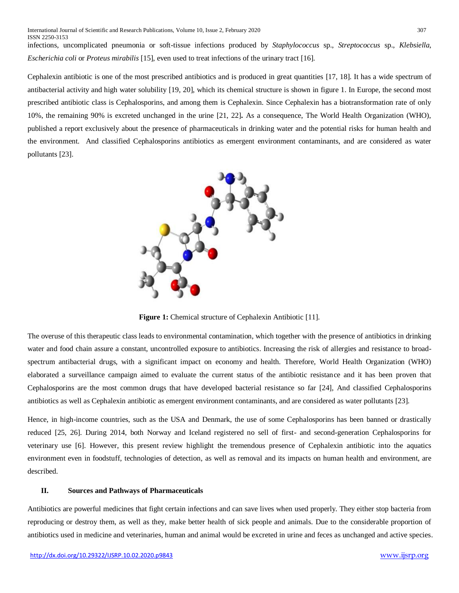infections, uncomplicated pneumonia or soft-tissue infections produced by *Staphylococcus* sp., *Streptococcus* sp., *Klebsiella*, *Escherichia coli* or *Proteus mirabilis* [15], even used to treat infections of the urinary tract [16].

Cephalexin antibiotic is one of the most prescribed antibiotics and is produced in great quantities [17, 18]. It has a wide spectrum of antibacterial activity and high water solubility [19, 20], which its chemical structure is shown in figure 1. In Europe, the second most prescribed antibiotic class is Cephalosporins, and among them is Cephalexin. Since Cephalexin has a biotransformation rate of only 10%, the remaining 90% is excreted unchanged in the urine [21, 22]**.** As a consequence, The World Health Organization (WHO), published a report exclusively about the presence of pharmaceuticals in drinking water and the potential risks for human health and the environment. And classified Cephalosporins antibiotics as emergent environment contaminants, and are considered as water pollutants [23].



**Figure 1:** Chemical structure of Cephalexin Antibiotic [11].

The overuse of this therapeutic class leads to environmental contamination, which together with the presence of antibiotics in drinking water and food chain assure a constant, uncontrolled exposure to antibiotics. Increasing the risk of allergies and resistance to broadspectrum antibacterial drugs, with a significant impact on economy and health. Therefore, World Health Organization (WHO) elaborated a surveillance campaign aimed to evaluate the current status of the antibiotic resistance and it has been proven that Cephalosporins are the most common drugs that have developed bacterial resistance so far [24], And classified Cephalosporins antibiotics as well as Cephalexin antibiotic as emergent environment contaminants, and are considered as water pollutants [23].

Hence, in high-income countries, such as the USA and Denmark, the use of some Cephalosporins has been banned or drastically reduced [25, 26]. During 2014, both Norway and Iceland registered no sell of first- and second-generation Cephalosporins for veterinary use [6]. However, this present review highlight the tremendous presence of Cephalexin antibiotic into the aquatics environment even in foodstuff, technologies of detection, as well as removal and its impacts on human health and environment, are described.

## **II. Sources and Pathways of Pharmaceuticals**

Antibiotics are powerful medicines that fight certain infections and can save lives when used properly. They either stop bacteria from reproducing or destroy them, as well as they, make better health of sick people and animals. Due to the considerable proportion of antibiotics used in medicine and veterinaries, human and animal would be excreted in urine and feces as unchanged and active species.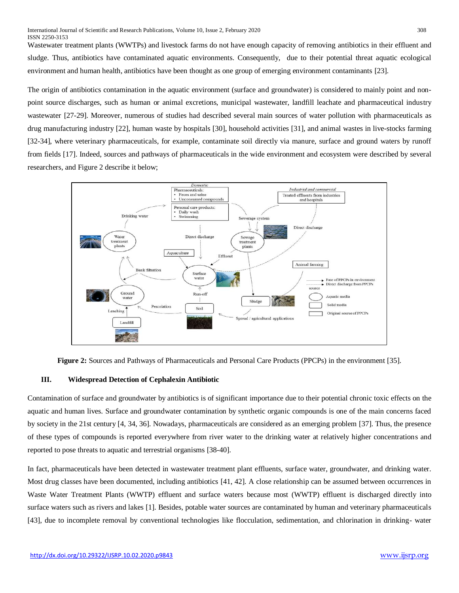Wastewater treatment plants (WWTPs) and livestock farms do not have enough capacity of removing antibiotics in their effluent and sludge. Thus, antibiotics have contaminated aquatic environments. Consequently, due to their potential threat aquatic ecological environment and human health, antibiotics have been thought as one group of emerging environment contaminants [23].

The origin of antibiotics contamination in the aquatic environment (surface and groundwater) is considered to mainly point and nonpoint source discharges, such as human or animal excretions, municipal wastewater, landfill leachate and pharmaceutical industry wastewater [27-29]. Moreover, numerous of studies had described several main sources of water pollution with pharmaceuticals as drug manufacturing industry [22], human waste by hospitals [30], household activities [31], and animal wastes in live-stocks farming [32-34], where veterinary pharmaceuticals, for example, contaminate soil directly via manure, surface and ground waters by runoff from fields [17]. Indeed, sources and pathways of pharmaceuticals in the wide environment and ecosystem were described by several researchers, and Figure 2 describe it below;



**Figure 2:** Sources and Pathways of Pharmaceuticals and Personal Care Products (PPCPs) in the environment [35].

#### **III. Widespread Detection of Cephalexin Antibiotic**

Contamination of surface and groundwater by antibiotics is of significant importance due to their potential chronic toxic effects on the aquatic and human lives. Surface and groundwater contamination by synthetic organic compounds is one of the main concerns faced by society in the 21st century [4, 34, 36]. Nowadays, pharmaceuticals are considered as an emerging problem [37]. Thus, the presence of these types of compounds is reported everywhere from river water to the drinking water at relatively higher concentrations and reported to pose threats to aquatic and terrestrial organisms [38-40].

In fact, pharmaceuticals have been detected in wastewater treatment plant effluents, surface water, groundwater, and drinking water. Most drug classes have been documented, including antibiotics [41, 42]. A close relationship can be assumed between occurrences in Waste Water Treatment Plants (WWTP) effluent and surface waters because most (WWTP) effluent is discharged directly into surface waters such as rivers and lakes [1]. Besides, potable water sources are contaminated by human and veterinary pharmaceuticals [43], due to incomplete removal by conventional technologies like flocculation, sedimentation, and chlorination in drinking- water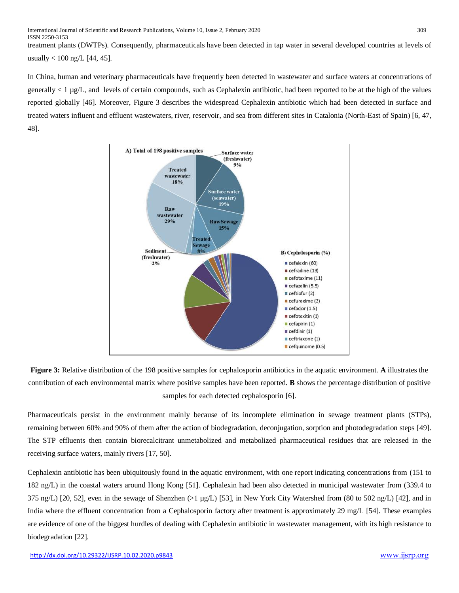treatment plants (DWTPs). Consequently, pharmaceuticals have been detected in tap water in several developed countries at levels of usually  $< 100$  ng/L [44, 45].

In China, human and veterinary pharmaceuticals have frequently been detected in wastewater and surface waters at concentrations of generally < 1 µg/L, and levels of certain compounds, such as Cephalexin antibiotic, had been reported to be at the high of the values reported globally [46]. Moreover, Figure 3 describes the widespread Cephalexin antibiotic which had been detected in surface and treated waters influent and effluent wastewaters, river, reservoir, and sea from different sites in Catalonia (North-East of Spain) [6, 47, 48].



**Figure 3:** Relative distribution of the 198 positive samples for cephalosporin antibiotics in the aquatic environment. **A** illustrates the contribution of each environmental matrix where positive samples have been reported. **B** shows the percentage distribution of positive samples for each detected cephalosporin [6].

Pharmaceuticals persist in the environment mainly because of its incomplete elimination in sewage treatment plants (STPs), remaining between 60% and 90% of them after the action of biodegradation, deconjugation, sorption and photodegradation steps [49]. The STP effluents then contain biorecalcitrant unmetabolized and metabolized pharmaceutical residues that are released in the receiving surface waters, mainly rivers [17, 50].

Cephalexin antibiotic has been ubiquitously found in the aquatic environment, with one report indicating concentrations from (151 to 182 ng/L) in the coastal waters around Hong Kong [51]. Cephalexin had been also detected in municipal wastewater from (339.4 to  $375$  ng/L) [20, 52], even in the sewage of Shenzhen ( $>1$  µg/L) [53], in New York City Watershed from (80 to 502 ng/L) [42], and in India where the effluent concentration from a Cephalosporin factory after treatment is approximately 29 mg/L [54]. These examples are evidence of one of the biggest hurdles of dealing with Cephalexin antibiotic in wastewater management, with its high resistance to biodegradation [22].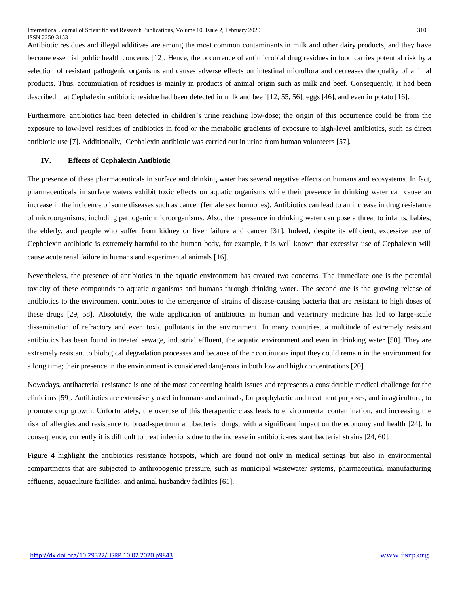Antibiotic residues and illegal additives are among the most common contaminants in milk and other dairy products, and they have become essential public health concerns [12]. Hence, the occurrence of antimicrobial drug residues in food carries potential risk by a selection of resistant pathogenic organisms and causes adverse effects on intestinal microflora and decreases the quality of animal products. Thus, accumulation of residues is mainly in products of animal origin such as milk and beef. Consequently, it had been described that Cephalexin antibiotic residue had been detected in milk and beef [12, 55, 56], eggs [46], and even in potato [16].

Furthermore, antibiotics had been detected in children's urine reaching low-dose; the origin of this occurrence could be from the exposure to low-level residues of antibiotics in food or the metabolic gradients of exposure to high-level antibiotics, such as direct antibiotic use [7]. Additionally, Cephalexin antibiotic was carried out in urine from human volunteers [57].

## **IV. Effects of Cephalexin Antibiotic**

The presence of these pharmaceuticals in surface and drinking water has several negative effects on humans and ecosystems. In fact, pharmaceuticals in surface waters exhibit toxic effects on aquatic organisms while their presence in drinking water can cause an increase in the incidence of some diseases such as cancer (female sex hormones). Antibiotics can lead to an increase in drug resistance of microorganisms, including pathogenic microorganisms. Also, their presence in drinking water can pose a threat to infants, babies, the elderly, and people who suffer from kidney or liver failure and cancer [31]. Indeed, despite its efficient, excessive use of Cephalexin antibiotic is extremely harmful to the human body, for example, it is well known that excessive use of Cephalexin will cause acute renal failure in humans and experimental animals [16].

Nevertheless, the presence of antibiotics in the aquatic environment has created two concerns. The immediate one is the potential toxicity of these compounds to aquatic organisms and humans through drinking water. The second one is the growing release of antibiotics to the environment contributes to the emergence of strains of disease-causing bacteria that are resistant to high doses of these drugs [29, 58]. Absolutely, the wide application of antibiotics in human and veterinary medicine has led to large-scale dissemination of refractory and even toxic pollutants in the environment. In many countries, a multitude of extremely resistant antibiotics has been found in treated sewage, industrial effluent, the aquatic environment and even in drinking water [50]. They are extremely resistant to biological degradation processes and because of their continuous input they could remain in the environment for a long time; their presence in the environment is considered dangerous in both low and high concentrations [20].

Nowadays, antibacterial resistance is one of the most concerning health issues and represents a considerable medical challenge for the clinicians [59]. Antibiotics are extensively used in humans and animals, for prophylactic and treatment purposes, and in agriculture, to promote crop growth. Unfortunately, the overuse of this therapeutic class leads to environmental contamination, and increasing the risk of allergies and resistance to broad-spectrum antibacterial drugs, with a significant impact on the economy and health [24]. In consequence, currently it is difficult to treat infections due to the increase in antibiotic-resistant bacterial strains [24, 60].

Figure 4 highlight the antibiotics resistance hotspots, which are found not only in medical settings but also in environmental compartments that are subjected to anthropogenic pressure, such as municipal wastewater systems, pharmaceutical manufacturing effluents, aquaculture facilities, and animal husbandry facilities [61].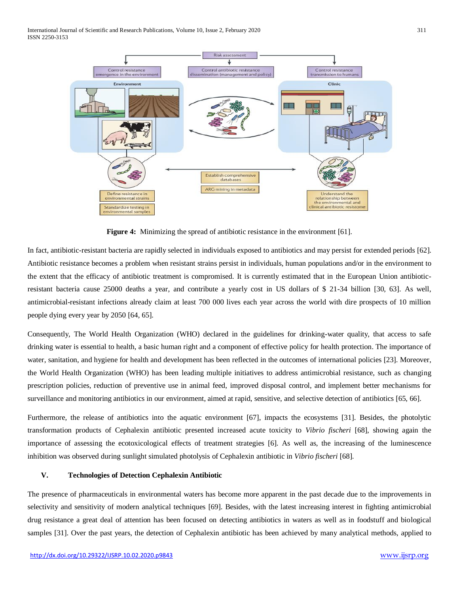International Journal of Scientific and Research Publications, Volume 10, Issue 2, February 2020 311 ISSN 2250-3153



**Figure 4:** Minimizing the spread of antibiotic resistance in the environment [61].

In fact, antibiotic-resistant bacteria are rapidly selected in individuals exposed to antibiotics and may persist for extended periods [62]. Antibiotic resistance becomes a problem when resistant strains persist in individuals, human populations and/or in the environment to the extent that the efficacy of antibiotic treatment is compromised. It is currently estimated that in the European Union antibioticresistant bacteria cause 25000 deaths a year, and contribute a yearly cost in US dollars of \$ 21-34 billion [30, 63]. As well, antimicrobial-resistant infections already claim at least 700 000 lives each year across the world with dire prospects of 10 million people dying every year by 2050 [64, 65].

Consequently, The World Health Organization (WHO) declared in the guidelines for drinking-water quality, that access to safe drinking water is essential to health, a basic human right and a component of effective policy for health protection. The importance of water, sanitation, and hygiene for health and development has been reflected in the outcomes of international policies [23]. Moreover, the World Health Organization (WHO) has been leading multiple initiatives to address antimicrobial resistance, such as changing prescription policies, reduction of preventive use in animal feed, improved disposal control, and implement better mechanisms for surveillance and monitoring antibiotics in our environment, aimed at rapid, sensitive, and selective detection of antibiotics [65, 66].

Furthermore, the release of antibiotics into the aquatic environment [67], impacts the ecosystems [31]. Besides, the photolytic transformation products of Cephalexin antibiotic presented increased acute toxicity to *Vibrio fischeri* [68], showing again the importance of assessing the ecotoxicological effects of treatment strategies [6]. As well as, the increasing of the luminescence inhibition was observed during sunlight simulated photolysis of Cephalexin antibiotic in *Vibrio fischeri* [68].

## **V. Technologies of Detection Cephalexin Antibiotic**

The presence of pharmaceuticals in environmental waters has become more apparent in the past decade due to the improvements in selectivity and sensitivity of modern analytical techniques [69]. Besides, with the latest increasing interest in fighting antimicrobial drug resistance a great deal of attention has been focused on detecting antibiotics in waters as well as in foodstuff and biological samples [31]. Over the past years, the detection of Cephalexin antibiotic has been achieved by many analytical methods, applied to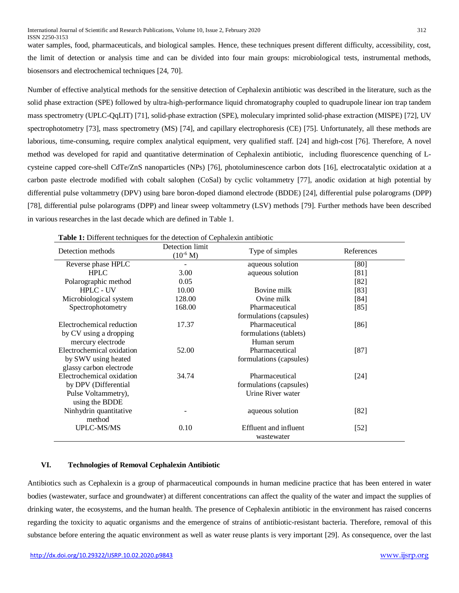water samples, food, pharmaceuticals, and biological samples. Hence, these techniques present different difficulty, accessibility, cost, the limit of detection or analysis time and can be divided into four main groups: microbiological tests, instrumental methods, biosensors and electrochemical techniques [24, 70].

Number of effective analytical methods for the sensitive detection of Cephalexin antibiotic was described in the literature, such as the solid phase extraction (SPE) followed by ultra-high-performance liquid chromatography coupled to quadrupole linear ion trap tandem mass spectrometry (UPLC-QqLIT) [71], solid-phase extraction (SPE), moleculary imprinted solid-phase extraction (MISPE) [72], UV spectrophotometry [73], mass spectrometry (MS) [74], and capillary electrophoresis (CE) [75]. Unfortunately, all these methods are laborious, time-consuming, require complex analytical equipment, very qualified staff. [24] and high-cost [76]. Therefore, A novel method was developed for rapid and quantitative determination of Cephalexin antibiotic, including fluorescence quenching of Lcysteine capped core-shell CdTe/ZnS nanoparticles (NPs) [76], photoluminescence carbon dots [16], electrocatalytic oxidation at a carbon paste electrode modified with cobalt salophen (CoSal) by cyclic voltammetry [77], anodic oxidation at high potential by differential pulse voltammetry (DPV) using bare boron-doped diamond electrode (BDDE) [24], differential pulse polarograms (DPP) [78], differential pulse polarograms (DPP) and linear sweep voltammetry (LSV) methods [79]. Further methods have been described in various researches in the last decade which are defined in Table 1.

| Detection methods         | Detection limit<br>$(10^{-6} M)$ | Type of simples                     | References |
|---------------------------|----------------------------------|-------------------------------------|------------|
| Reverse phase HPLC        |                                  | aqueous solution                    | [80]       |
| <b>HPLC</b>               | 3.00                             | aqueous solution                    | [81]       |
| Polarographic method      | 0.05                             |                                     | $[82]$     |
| <b>HPLC - UV</b>          | 10.00                            | Bovine milk                         | $[83]$     |
| Microbiological system    | 128.00                           | Ovine milk                          | $[84]$     |
| Spectrophotometry         | 168.00                           | Pharmaceutical                      | [85]       |
|                           |                                  | formulations (capsules)             |            |
| Electrochemical reduction | 17.37                            | Pharmaceutical                      | [86]       |
| by CV using a dropping    |                                  | formulations (tablets)              |            |
| mercury electrode         |                                  | Human serum                         |            |
| Electrochemical oxidation | 52.00                            | Pharmaceutical                      | $[87]$     |
| by SWV using heated       |                                  | formulations (capsules)             |            |
| glassy carbon electrode   |                                  |                                     |            |
| Electrochemical oxidation | 34.74                            | Pharmaceutical                      | $[24]$     |
| by DPV (Differential      |                                  | formulations (capsules)             |            |
| Pulse Voltammetry),       |                                  | Urine River water                   |            |
| using the BDDE            |                                  |                                     |            |
| Ninhydrin quantitative    |                                  | aqueous solution                    | [82]       |
| method                    |                                  |                                     |            |
| <b>UPLC-MS/MS</b>         | 0.10                             | Effluent and influent<br>wastewater | $[52]$     |

**Table 1:** Different techniques for the detection of Cephalexin antibiotic

#### **VI. Technologies of Removal Cephalexin Antibiotic**

Antibiotics such as Cephalexin is a group of pharmaceutical compounds in human medicine practice that has been entered in water bodies (wastewater, surface and groundwater) at different concentrations can affect the quality of the water and impact the supplies of drinking water, the ecosystems, and the human health. The presence of Cephalexin antibiotic in the environment has raised concerns regarding the toxicity to aquatic organisms and the emergence of strains of antibiotic-resistant bacteria. Therefore, removal of this substance before entering the aquatic environment as well as water reuse plants is very important [29]. As consequence, over the last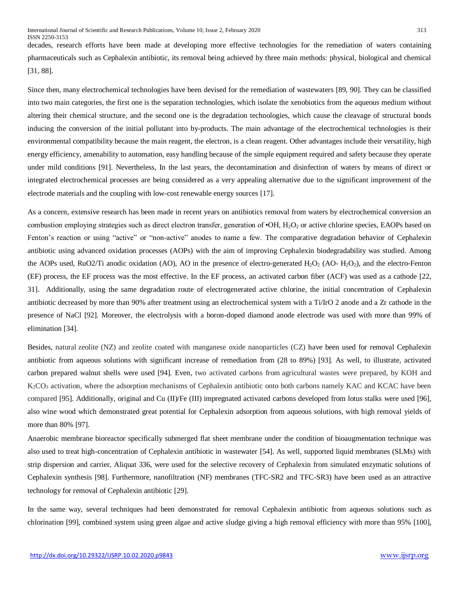decades, research efforts have been made at developing more effective technologies for the remediation of waters containing pharmaceuticals such as Cephalexin antibiotic, its removal being achieved by three main methods: physical, biological and chemical [31, 88].

Since then, many electrochemical technologies have been devised for the remediation of wastewaters [89, 90]. They can be classified into two main categories, the first one is the separation technologies, which isolate the xenobiotics from the aqueous medium without altering their chemical structure, and the second one is the degradation technologies, which cause the cleavage of structural bonds inducing the conversion of the initial pollutant into by-products. The main advantage of the electrochemical technologies is their environmental compatibility because the main reagent, the electron, is a clean reagent. Other advantages include their versatility, high energy efficiency, amenability to automation, easy handling because of the simple equipment required and safety because they operate under mild conditions [91]. Nevertheless, In the last years, the decontamination and disinfection of waters by means of direct or integrated electrochemical processes are being considered as a very appealing alternative due to the significant improvement of the electrode materials and the coupling with low-cost renewable energy sources [17].

As a concern, extensive research has been made in recent years on antibiotics removal from waters by electrochemical conversion an combustion employing strategies such as direct electron transfer, generation of  $\cdot$ OH,  $H_2O_2$  or active chlorine species, EAOPs based on Fenton's reaction or using "active" or "non-active" anodes to name a few. The comparative degradation behavior of Cephalexin antibiotic using advanced oxidation processes (AOPs) with the aim of improving Cephalexin biodegradability was studied. Among the AOPs used, RuO2/Ti anodic oxidation (AO), AO in the presence of electro-generated  $H_2O_2$  (AO- $H_2O_2$ ), and the electro-Fenton (EF) process, the EF process was the most effective. In the EF process, an activated carbon fiber (ACF) was used as a cathode [22, 31]. Additionally, using the same degradation route of electrogenerated active chlorine, the initial concentration of Cephalexin antibiotic decreased by more than 90% after treatment using an electrochemical system with a Ti/IrO 2 anode and a Zr cathode in the presence of NaCl [92]. Moreover, the electrolysis with a boron-doped diamond anode electrode was used with more than 99% of elimination [34].

Besides, natural zeolite (NZ) and zeolite coated with manganese oxide nanoparticles (CZ) have been used for removal Cephalexin antibiotic from aqueous solutions with significant increase of remediation from (28 to 89%) [93]. As well, to illustrate, activated carbon prepared walnut shells were used [94]. Even, two activated carbons from agricultural wastes were prepared, by KOH and K2CO<sup>3</sup> activation, where the adsorption mechanisms of Cephalexin antibiotic onto both carbons namely KAC and KCAC have been compared [95]. Additionally, [original and Cu \(II\)/Fe \(III\) impregnated activated carbons developed from lotus stalks](https://www.sciencedirect.com/science/article/pii/S0304389410013695) were used [96], also wine wood which demonstrated great potential for Cephalexin adsorption from aqueous solutions, with high removal yields of more than 80% [97].

Anaerobic membrane bioreactor specifically submerged flat sheet membrane under the condition of bioaugmentation technique was also used to treat high-concentration of Cephalexin antibiotic in wastewater [54]. As well, supported liquid membranes (SLMs) with strip dispersion and carrier, Aliquat 336, were used for the selective recovery of Cephalexin from simulated enzymatic solutions of Cephalexin synthesis [98]. Furthermore, nanofiltration (NF) membranes (TFC-SR2 and TFC-SR3) have been used as an attractive technology for removal of Cephalexin antibiotic [29].

In the same way, several techniques had been demonstrated for removal Cephalexin antibiotic from aqueous solutions such as chlorination [99], combined system using green algae and active sludge giving a high removal efficiency with more than 95% [100],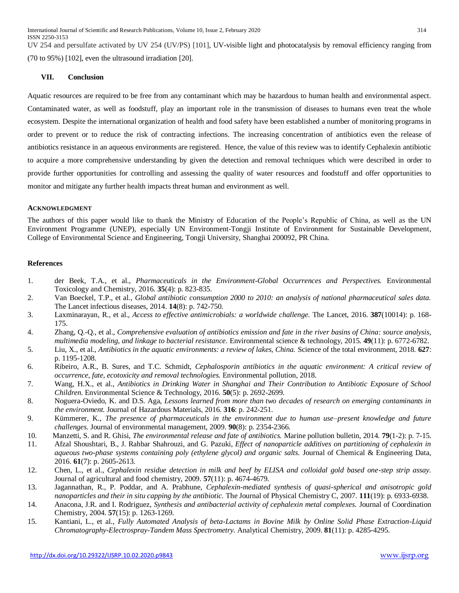UV 254 and persulfate activated by UV 254 (UV/PS) [101], UV-visible light and photocatalysis by removal efficiency ranging from (70 to 95%) [102], even the ultrasound irradiation [20].

# **VII. Conclusion**

Aquatic resources are required to be free from any contaminant which may be hazardous to human health and environmental aspect. Contaminated water, as well as foodstuff, play an important role in the transmission of diseases to humans even treat the whole ecosystem. Despite the international organization of health and food safety have been established a number of monitoring programs in order to prevent or to reduce the risk of contracting infections. The increasing concentration of antibiotics even the release of antibiotics resistance in an aqueous environments are registered. Hence, the value of this review was to identify Cephalexin antibiotic to acquire a more comprehensive understanding by given the detection and removal techniques which were described in order to provide further opportunities for controlling and assessing the quality of water resources and foodstuff and offer opportunities to monitor and mitigate any further health impacts threat human and environment as well.

## **ACKNOWLEDGMENT**

The authors of this paper would like to thank the Ministry of Education of the People's Republic of China, as well as the UN Environment Programme (UNEP), especially UN Environment-Tongji Institute of Environment for Sustainable Development, College of Environmental Science and Engineering, Tongji University, Shanghai 200092, PR China.

## **References**

- 1. der Beek, T.A., et al., *Pharmaceuticals in the Environment-Global Occurrences and Perspectives.* Environmental Toxicology and Chemistry, 2016. **35**(4): p. 823-835.
- 2. Van Boeckel, T.P., et al., *Global antibiotic consumption 2000 to 2010: an analysis of national pharmaceutical sales data.* The Lancet infectious diseases, 2014. **14**(8): p. 742-750.
- 3. Laxminarayan, R., et al., *Access to effective antimicrobials: a worldwide challenge.* The Lancet, 2016. **387**(10014): p. 168- 175.
- 4. Zhang, Q.-Q., et al., *Comprehensive evaluation of antibiotics emission and fate in the river basins of China: source analysis, multimedia modeling, and linkage to bacterial resistance.* Environmental science & technology, 2015. **49**(11): p. 6772-6782.
- 5. Liu, X., et al., *Antibiotics in the aquatic environments: a review of lakes, China.* Science of the total environment, 2018. **627**: p. 1195-1208.
- 6. Ribeiro, A.R., B. Sures, and T.C. Schmidt, *Cephalosporin antibiotics in the aquatic environment: A critical review of occurrence, fate, ecotoxicity and removal technologies.* Environmental pollution, 2018.
- 7. Wang, H.X., et al., *Antibiotics in Drinking Water in Shanghai and Their Contribution to Antibiotic Exposure of School Children.* Environmental Science & Technology, 2016. **50**(5): p. 2692-2699.
- 8. Noguera-Oviedo, K. and D.S. Aga, *Lessons learned from more than two decades of research on emerging contaminants in the environment.* Journal of Hazardous Materials, 2016. **316**: p. 242-251.
- 9. Kümmerer, K., *The presence of pharmaceuticals in the environment due to human use–present knowledge and future challenges.* Journal of environmental management, 2009. **90**(8): p. 2354-2366.
- 10. Manzetti, S. and R. Ghisi, *The environmental release and fate of antibiotics.* Marine pollution bulletin, 2014. **79**(1-2): p. 7-15.
- 11. Afzal Shoushtari, B., J. Rahbar Shahrouzi, and G. Pazuki, *Effect of nanoparticle additives on partitioning of cephalexin in aqueous two-phase systems containing poly (ethylene glycol) and organic salts.* Journal of Chemical & Engineering Data, 2016. **61**(7): p. 2605-2613.
- 12. Chen, L., et al., *Cephalexin residue detection in milk and beef by ELISA and colloidal gold based one-step strip assay.* Journal of agricultural and food chemistry, 2009. **57**(11): p. 4674-4679.
- 13. Jagannathan, R., P. Poddar, and A. Prabhune, *Cephalexin-mediated synthesis of quasi-spherical and anisotropic gold nanoparticles and their in situ capping by the antibiotic.* The Journal of Physical Chemistry C, 2007. **111**(19): p. 6933-6938.
- 14. Anacona, J.R. and I. Rodriguez, *Synthesis and antibacterial activity of cephalexin metal complexes.* Journal of Coordination Chemistry, 2004. **57**(15): p. 1263-1269.
- 15. Kantiani, L., et al., *Fully Automated Analysis of beta-Lactams in Bovine Milk by Online Solid Phase Extraction-Liquid Chromatography-Electrospray-Tandem Mass Spectrometry.* Analytical Chemistry, 2009. **81**(11): p. 4285-4295.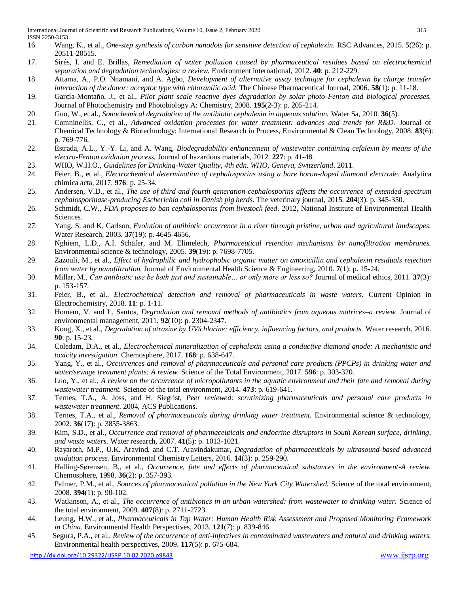- 16. Wang, K., et al., *One-step synthesis of carbon nanodots for sensitive detection of cephalexin.* RSC Advances, 2015. **5**(26): p. 20511-20515.
- 17. Sirés, I. and E. Brillas, *Remediation of water pollution caused by pharmaceutical residues based on electrochemical separation and degradation technologies: a review.* Environment international, 2012. **40**: p. 212-229.
- 18. Attama, A., P.O. Nnamani, and A. Agbo, *Development of alternative assay technique for cephalexin by charge transfer interaction of the donor: acceptor type with chloranilic acid.* The Chinese Pharmaceutical Journal, 2006. **58**(1): p. 11-18.
- 19. García-Montaño, J., et al., *Pilot plant scale reactive dyes degradation by solar photo-Fenton and biological processes.* Journal of Photochemistry and Photobiology A: Chemistry, 2008. **195**(2-3): p. 205-214.
- 20. Guo, W., et al., *Sonochemical degradation of the antibiotic cephalexin in aqueous solution.* Water Sa, 2010. **36**(5).
- 21. Comninellis, C., et al., *Advanced oxidation processes for water treatment: advances and trends for R&D.* Journal of Chemical Technology & Biotechnology: International Research in Process, Environmental & Clean Technology, 2008. **83**(6): p. 769-776.
- 22. Estrada, A.L., Y.-Y. Li, and A. Wang, *Biodegradability enhancement of wastewater containing cefalexin by means of the electro-Fenton oxidation process.* Journal of hazardous materials, 2012. **227**: p. 41-48.
- 23. WHO, W.H.O., *Guidelines for Drinking-Water Quality, 4th edn. WHO, Geneva, Switzerland*. 2011.
- 24. Feier, B., et al., *Electrochemical determination of cephalosporins using a bare boron-doped diamond electrode.* Analytica chimica acta, 2017. **976**: p. 25-34.
- 25. Andersen, V.D., et al., *The use of third and fourth generation cephalosporins affects the occurrence of extended-spectrum cephalosporinase-producing Escherichia coli in Danish pig herds.* The veterinary journal, 2015. **204**(3): p. 345-350.
- 26. Schmidt, C.W., *FDA proposes to ban cephalosporins from livestock feed*. 2012, National Institute of Environmental Health Sciences.
- 27. Yang, S. and K. Carlson, *Evolution of antibiotic occurrence in a river through pristine, urban and agricultural landscapes.* Water Research, 2003. **37**(19): p. 4645-4656.
- 28. Nghiem, L.D., A.I. Schäfer, and M. Elimelech, *Pharmaceutical retention mechanisms by nanofiltration membranes.* Environmental science & technology, 2005. **39**(19): p. 7698-7705.
- 29. Zazouli, M., et al., *Effect of hydrophilic and hydrophobic organic matter on amoxicillin and cephalexin residuals rejection from water by nanofiltration.* Journal of Environmental Health Science & Engineering, 2010. **7**(1): p. 15-24.
- 30. Millar, M., *Can antibiotic use be both just and sustainable… or only more or less so?* Journal of medical ethics, 2011. **37**(3): p. 153-157.
- 31. Feier, B., et al., *Electrochemical detection and removal of pharmaceuticals in waste waters.* Current Opinion in Electrochemistry, 2018. **11**: p. 1-11.
- 32. Homem, V. and L. Santos, *Degradation and removal methods of antibiotics from aqueous matrices–a review.* Journal of environmental management, 2011. **92**(10): p. 2304-2347.
- 33. Kong, X., et al., *Degradation of atrazine by UV/chlorine: efficiency, influencing factors, and products.* Water research, 2016. **90**: p. 15-23.
- 34. Coledam, D.A., et al., *Electrochemical mineralization of cephalexin using a conductive diamond anode: A mechanistic and toxicity investigation.* Chemosphere, 2017. **168**: p. 638-647.
- 35. Yang, Y., et al., *Occurrences and removal of pharmaceuticals and personal care products (PPCPs) in drinking water and water/sewage treatment plants: A review.* Science of the Total Environment, 2017. **596**: p. 303-320.
- 36. Luo, Y., et al., *A review on the occurrence of micropollutants in the aquatic environment and their fate and removal during wastewater treatment.* Science of the total environment, 2014. **473**: p. 619-641.
- 37. Ternes, T.A., A. Joss, and H. Siegrist, *Peer reviewed: scrutinizing pharmaceuticals and personal care products in wastewater treatment*. 2004, ACS Publications.
- 38. Ternes, T.A., et al., *Removal of pharmaceuticals during drinking water treatment.* Environmental science & technology, 2002. **36**(17): p. 3855-3863.
- 39. Kim, S.D., et al., *Occurrence and removal of pharmaceuticals and endocrine disruptors in South Korean surface, drinking, and waste waters.* Water research, 2007. **41**(5): p. 1013-1021.
- 40. Rayaroth, M.P., U.K. Aravind, and C.T. Aravindakumar, *Degradation of pharmaceuticals by ultrasound-based advanced oxidation process.* Environmental Chemistry Letters, 2016. **14**(3): p. 259-290.
- 41. Halling-Sørensen, B., et al., *Occurrence, fate and effects of pharmaceutical substances in the environment-A review.* Chemosphere, 1998. **36**(2): p. 357-393.
- 42. Palmer, P.M., et al., *Sources of pharmaceutical pollution in the New York City Watershed.* Science of the total environment, 2008. **394**(1): p. 90-102.
- 43. Watkinson, A., et al., *The occurrence of antibiotics in an urban watershed: from wastewater to drinking water.* Science of the total environment, 2009. **407**(8): p. 2711-2723.
- 44. Leung, H.W., et al., *Pharmaceuticals in Tap Water: Human Health Risk Assessment and Proposed Monitoring Framework in China.* Environmental Health Perspectives, 2013. **121**(7): p. 839-846.
- 45. Segura, P.A., et al., *Review of the occurrence of anti-infectives in contaminated wastewaters and natural and drinking waters.* Environmental health perspectives, 2009. **117**(5): p. 675-684.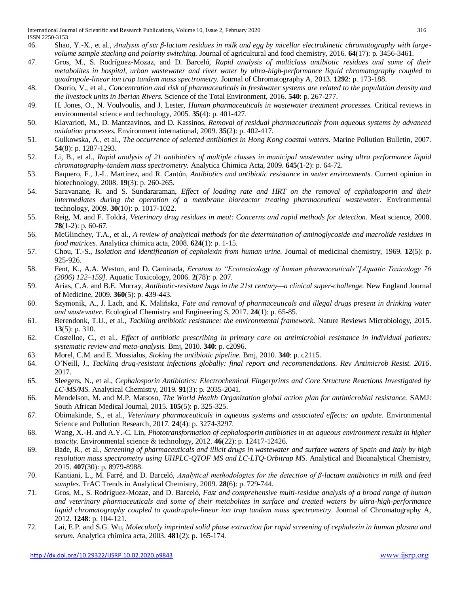- 46. Shao, Y.-X., et al., *Analysis of six β-lactam residues in milk and egg by micellar electrokinetic chromatography with largevolume sample stacking and polarity switching.* Journal of agricultural and food chemistry, 2016. **64**(17): p. 3456-3461.
- 47. Gros, M., S. Rodríguez-Mozaz, and D. Barceló, *Rapid analysis of multiclass antibiotic residues and some of their metabolites in hospital, urban wastewater and river water by ultra-high-performance liquid chromatography coupled to quadrupole-linear ion trap tandem mass spectrometry.* Journal of Chromatography A, 2013. **1292**: p. 173-188.
- 48. Osorio, V., et al., *Concentration and risk of pharmaceuticals in freshwater systems are related to the population density and the livestock units in Iberian Rivers.* Science of the Total Environment, 2016. **540**: p. 267-277.
- 49. H. Jones, O., N. Voulvoulis, and J. Lester, *Human pharmaceuticals in wastewater treatment processes.* Critical reviews in environmental science and technology, 2005. **35**(4): p. 401-427.
- 50. Klavarioti, M., D. Mantzavinos, and D. Kassinos, *Removal of residual pharmaceuticals from aqueous systems by advanced oxidation processes.* Environment international, 2009. **35**(2): p. 402-417.
- 51. Gulkowska, A., et al., *The occurrence of selected antibiotics in Hong Kong coastal waters.* Marine Pollution Bulletin, 2007. **54**(8): p. 1287-1293.
- 52. Li, B., et al., *Rapid analysis of 21 antibiotics of multiple classes in municipal wastewater using ultra performance liquid chromatography-tandem mass spectrometry.* Analytica Chimica Acta, 2009. **645**(1-2): p. 64-72.
- 53. Baquero, F., J.-L. Martínez, and R. Cantón, *Antibiotics and antibiotic resistance in water environments.* Current opinion in biotechnology, 2008. **19**(3): p. 260-265.
- 54. Saravanane, R. and S. Sundararaman, *Effect of loading rate and HRT on the removal of cephalosporin and their intermediates during the operation of a membrane bioreactor treating pharmaceutical wastewater.* Environmental technology, 2009. **30**(10): p. 1017-1022.
- 55. Reig, M. and F. Toldrá, *Veterinary drug residues in meat: Concerns and rapid methods for detection.* Meat science, 2008. **78**(1-2): p. 60-67.
- 56. McGlinchey, T.A., et al., *A review of analytical methods for the determination of aminoglycoside and macrolide residues in food matrices.* Analytica chimica acta, 2008. **624**(1): p. 1-15.
- 57. Chou, T.-S., *Isolation and identification of cephalexin from human urine.* Journal of medicinal chemistry, 1969. **12**(5): p. 925-926.
- 58. Fent, K., A.A. Weston, and D. Caminada, *Erratum to "Ecotoxicology of human pharmaceuticals"[Aquatic Toxicology 76 (2006) 122–159].* Aquatic Toxicology, 2006. **2**(78): p. 207.
- 59. Arias, C.A. and B.E. Murray, *Antibiotic-resistant bugs in the 21st century—a clinical super-challenge.* New England Journal of Medicine, 2009. **360**(5): p. 439-443.
- 60. Szymonik, A., J. Lach, and K. Malińska, *Fate and removal of pharmaceuticals and illegal drugs present in drinking water and wastewater.* Ecological Chemistry and Engineering S, 2017. **24**(1): p. 65-85.
- 61. Berendonk, T.U., et al., *Tackling antibiotic resistance: the environmental framework.* Nature Reviews Microbiology, 2015. **13**(5): p. 310.
- 62. Costelloe, C., et al., *Effect of antibiotic prescribing in primary care on antimicrobial resistance in individual patients: systematic review and meta-analysis.* Bmj, 2010. **340**: p. c2096.
- 63. Morel, C.M. and E. Mossialos, *Stoking the antibiotic pipeline.* Bmj, 2010. **340**: p. c2115.
- 64. O'Neill, J., *Tackling drug-resistant infections globally: final report and recommendations. Rev Antimicrob Resist. 2016*. 2017.
- 65. Sleegers, N., et al., *Cephalosporin Antibiotics: Electrochemical Fingerprints and Core Structure Reactions Investigated by LC-MS/MS.* Analytical Chemistry, 2019. **91**(3): p. 2035-2041.
- 66. Mendelson, M. and M.P. Matsoso, *The World Health Organization global action plan for antimicrobial resistance.* SAMJ: South African Medical Journal, 2015. **105**(5): p. 325-325.
- 67. Obimakinde, S., et al., *Veterinary pharmaceuticals in aqueous systems and associated effects: an update.* Environmental Science and Pollution Research, 2017. **24**(4): p. 3274-3297.
- 68. Wang, X.-H. and A.Y.-C. Lin, *Phototransformation of cephalosporin antibiotics in an aqueous environment results in higher toxicity.* Environmental science & technology, 2012. **46**(22): p. 12417-12426.
- 69. Bade, R., et al., *Screening of pharmaceuticals and illicit drugs in wastewater and surface waters of Spain and Italy by high resolution mass spectrometry using UHPLC-QTOF MS and LC-LTQ-Orbitrap MS.* Analytical and Bioanalytical Chemistry, 2015. **407**(30): p. 8979-8988.
- 70. Kantiani, L., M. Farré, and D. Barceló, *Analytical methodologies for the detection of β-lactam antibiotics in milk and feed samples.* TrAC Trends in Analytical Chemistry, 2009. **28**(6): p. 729-744.
- 71. Gros, M., S. Rodríguez-Mozaz, and D. Barceló, *Fast and comprehensive multi-residue analysis of a broad range of human and veterinary pharmaceuticals and some of their metabolites in surface and treated waters by ultra-high-performance liquid chromatography coupled to quadrupole-linear ion trap tandem mass spectrometry.* Journal of Chromatography A, 2012. **1248**: p. 104-121.
- 72. Lai, E.P. and S.G. Wu, *Molecularly imprinted solid phase extraction for rapid screening of cephalexin in human plasma and serum.* Analytica chimica acta, 2003. **481**(2): p. 165-174.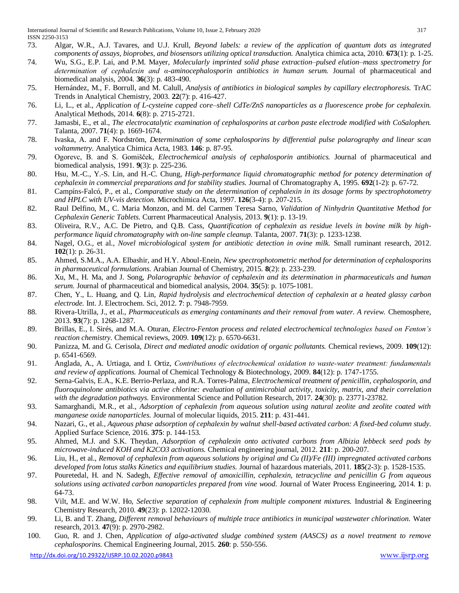- 73. Algar, W.R., A.J. Tavares, and U.J. Krull, *Beyond labels: a review of the application of quantum dots as integrated components of assays, bioprobes, and biosensors utilizing optical transduction.* Analytica chimica acta, 2010. **673**(1): p. 1-25.
- 74. Wu, S.G., E.P. Lai, and P.M. Mayer, *Molecularly imprinted solid phase extraction–pulsed elution–mass spectrometry for determination of cephalexin and α-aminocephalosporin antibiotics in human serum.* Journal of pharmaceutical and biomedical analysis, 2004. **36**(3): p. 483-490.
- 75. Hernández, M., F. Borrull, and M. Calull, *Analysis of antibiotics in biological samples by capillary electrophoresis.* TrAC Trends in Analytical Chemistry, 2003. **22**(7): p. 416-427.
- 76. Li, L., et al., *Application of L-cysteine capped core–shell CdTe/ZnS nanoparticles as a fluorescence probe for cephalexin.* Analytical Methods, 2014. **6**(8): p. 2715-2721.
- 77. Jamasbi, E., et al., *The electrocatalytic examination of cephalosporins at carbon paste electrode modified with CoSalophen.* Talanta, 2007. **71**(4): p. 1669-1674.
- 78. Ivaska, A. and F. Nordström, *Determination of some cephalosporins by differential pulse polarography and linear scan voltammetry.* Analytica Chimica Acta, 1983. **146**: p. 87-95.
- 79. Ogorevc, B. and S. Gomišček, *Electrochemical analysis of cephalosporin antibiotics.* Journal of pharmaceutical and biomedical analysis, 1991. **9**(3): p. 225-236.
- 80. Hsu, M.-C., Y.-S. Lin, and H.-C. Chung, *High-performance liquid chromatographic method for potency determination of cephalexin in commercial preparations and for stability studies.* Journal of Chromatography A, 1995. **692**(1-2): p. 67-72.
- 81. Campíns-Falcó, P., et al., *Comparative study on the determination of cephalexin in its dosage forms by spectrophotometry and HPLC with UV-vis detection.* Microchimica Acta, 1997. **126**(3-4): p. 207-215.
- 82. Raul Delfino, M., C. Maria Monzon, and M. del Carmen Teresa Sarno, *Validation of Ninhydrin Quantitative Method for Cephalexin Generic Tablets.* Current Pharmaceutical Analysis, 2013. **9**(1): p. 13-19.
- 83. Oliveira, R.V., A.C. De Pietro, and Q.B. Cass, *Quantification of cephalexin as residue levels in bovine milk by highperformance liquid chromatography with on-line sample cleanup.* Talanta, 2007. **71**(3): p. 1233-1238.
- 84. Nagel, O.G., et al., *Novel microbiological system for antibiotic detection in ovine milk.* Small ruminant research, 2012. **102**(1): p. 26-31.
- 85. Ahmed, S.M.A., A.A. Elbashir, and H.Y. Aboul-Enein, *New spectrophotometric method for determination of cephalosporins in pharmaceutical formulations.* Arabian Journal of Chemistry, 2015. **8**(2): p. 233-239.
- 86. Xu, M., H. Ma, and J. Song, *Polarographic behavior of cephalexin and its determination in pharmaceuticals and human serum.* Journal of pharmaceutical and biomedical analysis, 2004. **35**(5): p. 1075-1081.
- 87. Chen, Y., L. Huang, and Q. Lin, *Rapid hydrolysis and electrochemical detection of cephalexin at a heated glassy carbon electrode.* Int. J. Electrochem. Sci, 2012. **7**: p. 7948-7959.
- 88. Rivera-Utrilla, J., et al., *Pharmaceuticals as emerging contaminants and their removal from water. A review.* Chemosphere, 2013. **93**(7): p. 1268-1287.
- 89. Brillas, E., I. Sirés, and M.A. Oturan, *Electro-Fenton process and related electrochemical technologies based on Fenton's reaction chemistry.* Chemical reviews, 2009. **109**(12): p. 6570-6631.
- 90. Panizza, M. and G. Cerisola, *Direct and mediated anodic oxidation of organic pollutants.* Chemical reviews, 2009. **109**(12): p. 6541-6569.
- 91. Anglada, A., A. Urtiaga, and I. Ortiz, *Contributions of electrochemical oxidation to waste‐water treatment: fundamentals and review of applications.* Journal of Chemical Technology & Biotechnology, 2009. **84**(12): p. 1747-1755.
- 92. Serna-Galvis, E.A., K.E. Berrio-Perlaza, and R.A. Torres-Palma, *Electrochemical treatment of penicillin, cephalosporin, and fluoroquinolone antibiotics via active chlorine: evaluation of antimicrobial activity, toxicity, matrix, and their correlation with the degradation pathways.* Environmental Science and Pollution Research, 2017. **24**(30): p. 23771-23782.
- 93. Samarghandi, M.R., et al., *Adsorption of cephalexin from aqueous solution using natural zeolite and zeolite coated with manganese oxide nanoparticles.* Journal of molecular liquids, 2015. **211**: p. 431-441.
- 94. Nazari, G., et al., *Aqueous phase adsorption of cephalexin by walnut shell-based activated carbon: A fixed-bed column study.* Applied Surface Science, 2016. **375**: p. 144-153.
- 95. Ahmed, M.J. and S.K. Theydan, *Adsorption of cephalexin onto activated carbons from Albizia lebbeck seed pods by microwave-induced KOH and K2CO3 activations.* Chemical engineering journal, 2012. **211**: p. 200-207.
- 96. Liu, H., et al., *Removal of cephalexin from aqueous solutions by original and Cu (II)/Fe (III) impregnated activated carbons developed from lotus stalks Kinetics and equilibrium studies.* Journal of hazardous materials, 2011. **185**(2-3): p. 1528-1535.
- 97. Pouretedal, H. and N. Sadegh, *Effective removal of amoxicillin, cephalexin, tetracycline and penicillin G from aqueous solutions using activated carbon nanoparticles prepared from vine wood.* Journal of Water Process Engineering, 2014. **1**: p. 64-73.
- 98. Vilt, M.E. and W.W. Ho, *Selective separation of cephalexin from multiple component mixtures.* Industrial & Engineering Chemistry Research, 2010. **49**(23): p. 12022-12030.
- 99. Li, B. and T. Zhang, *Different removal behaviours of multiple trace antibiotics in municipal wastewater chlorination.* Water research, 2013. **47**(9): p. 2970-2982.
- 100. Guo, R. and J. Chen, *Application of alga-activated sludge combined system (AASCS) as a novel treatment to remove cephalosporins.* Chemical Engineering Journal, 2015. **260**: p. 550-556.